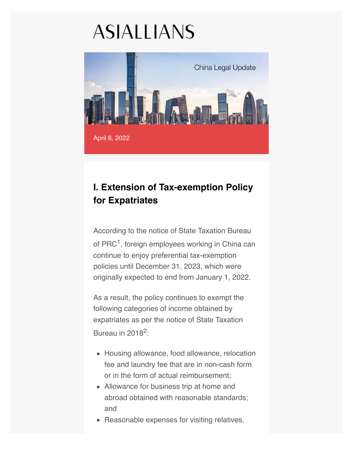## **ASIALLIANS**



## **I. Extension of Tax-exemption Policy for Expatriates**

According to the notice of State Taxation Bureau of PRC<sup>1</sup>, foreign employees working in China can continue to enjoy preferential tax-exemption policies until December 31, 2023, which were originally expected to end from January 1, 2022.

As a result, the policy continues to exempt the following categories of income obtained by expatriates as per the notice of State Taxation Bureau in 20182:

- Housing allowance, food allowance, relocation fee and laundry fee that are in non-cash form or in the form of actual reimbursement;
- Allowance for business trip at home and abroad obtained with reasonable standards; and
- Reasonable expenses for visiting relatives,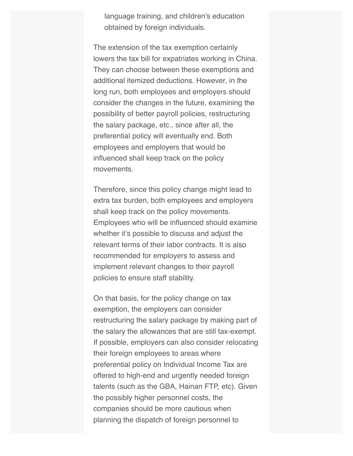language training, and children's education obtained by foreign individuals.

The extension of the tax exemption certainly lowers the tax bill for expatriates working in China. They can choose between these exemptions and additional itemized deductions. However, in the long run, both employees and employers should consider the changes in the future, examining the possibility of better payroll policies, restructuring the salary package, etc., since after all, the preferential policy will eventually end. Both employees and employers that would be influenced shall keep track on the policy movements.

Therefore, since this policy change might lead to extra tax burden, both employees and employers shall keep track on the policy movements. Employees who will be influenced should examine whether it's possible to discuss and adjust the relevant terms of their labor contracts. It is also recommended for employers to assess and implement relevant changes to their payroll policies to ensure staff stability.

On that basis, for the policy change on tax exemption, the employers can consider restructuring the salary package by making part of the salary the allowances that are still tax-exempt. If possible, employers can also consider relocating their foreign employees to areas where preferential policy on Individual Income Tax are offered to high-end and urgently needed foreign talents (such as the GBA, Hainan FTP, etc). Given the possibly higher personnel costs, the companies should be more cautious when planning the dispatch of foreign personnel to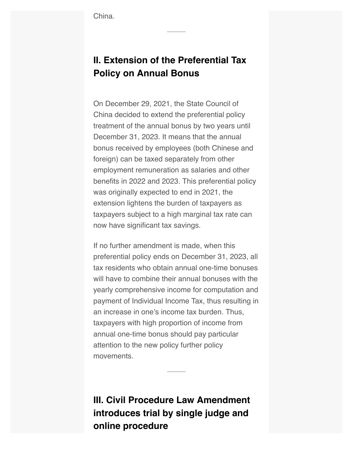## **II. Extension of the Preferential Tax Policy on Annual Bonus**

On December 29, 2021, the State Council of China decided to extend the preferential policy treatment of the annual bonus by two years until December 31, 2023. It means that the annual bonus received by employees (both Chinese and foreign) can be taxed separately from other employment remuneration as salaries and other benefits in 2022 and 2023. This preferential policy was originally expected to end in 2021, the extension lightens the burden of taxpayers as taxpayers subject to a high marginal tax rate can now have significant tax savings.

If no further amendment is made, when this preferential policy ends on December 31, 2023, all tax residents who obtain annual one-time bonuses will have to combine their annual bonuses with the yearly comprehensive income for computation and payment of Individual Income Tax, thus resulting in an increase in one's income tax burden. Thus, taxpayers with high proportion of income from annual one-time bonus should pay particular attention to the new policy further policy movements.

**III. Civil Procedure Law Amendment introduces trial by single judge and online procedure**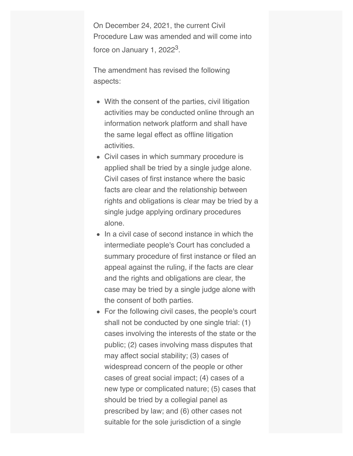On December 24, 2021, the current Civil Procedure Law was amended and will come into force on January 1,  $2022<sup>3</sup>$ .

The amendment has revised the following aspects:

- With the consent of the parties, civil litigation activities may be conducted online through an information network platform and shall have the same legal effect as offline litigation activities.
- Civil cases in which summary procedure is applied shall be tried by a single judge alone. Civil cases of first instance where the basic facts are clear and the relationship between rights and obligations is clear may be tried by a single judge applying ordinary procedures alone.
- In a civil case of second instance in which the intermediate people's Court has concluded a summary procedure of first instance or filed an appeal against the ruling, if the facts are clear and the rights and obligations are clear, the case may be tried by a single judge alone with the consent of both parties.
- For the following civil cases, the people's court shall not be conducted by one single trial: (1) cases involving the interests of the state or the public; (2) cases involving mass disputes that may affect social stability; (3) cases of widespread concern of the people or other cases of great social impact; (4) cases of a new type or complicated nature; (5) cases that should be tried by a collegial panel as prescribed by law; and (6) other cases not suitable for the sole jurisdiction of a single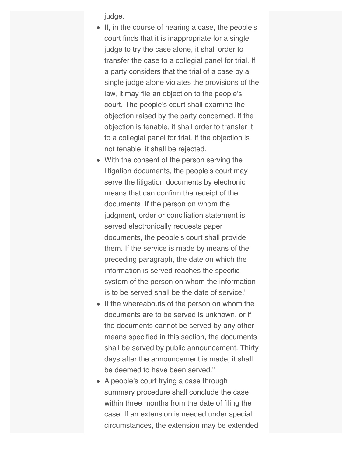judge.

- If, in the course of hearing a case, the people's court finds that it is inappropriate for a single judge to try the case alone, it shall order to transfer the case to a collegial panel for trial. If a party considers that the trial of a case by a single judge alone violates the provisions of the law, it may file an objection to the people's court. The people's court shall examine the objection raised by the party concerned. If the objection is tenable, it shall order to transfer it to a collegial panel for trial. If the objection is not tenable, it shall be rejected.
- With the consent of the person serving the litigation documents, the people's court may serve the litigation documents by electronic means that can confirm the receipt of the documents. If the person on whom the judgment, order or conciliation statement is served electronically requests paper documents, the people's court shall provide them. If the service is made by means of the preceding paragraph, the date on which the information is served reaches the specific system of the person on whom the information is to be served shall be the date of service."
- If the whereabouts of the person on whom the documents are to be served is unknown, or if the documents cannot be served by any other means specified in this section, the documents shall be served by public announcement. Thirty days after the announcement is made, it shall be deemed to have been served."
- A people's court trying a case through summary procedure shall conclude the case within three months from the date of filing the case. If an extension is needed under special circumstances, the extension may be extended